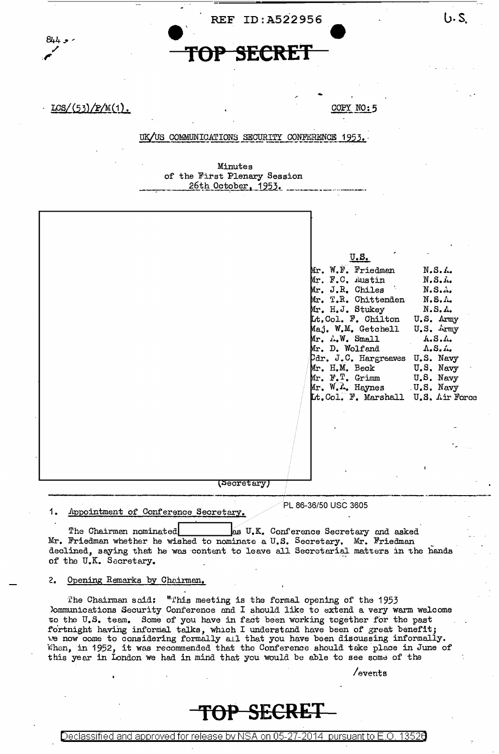

UK/US COMMUNICATIONS SECURITY CONFERENCE 1953.

Minutes of the First Plenary Session 26th October, 1953.

|             | $\underline{\mathbf{U}}$ . S.         |
|-------------|---------------------------------------|
|             | Mr. W.F. Friedman<br>$N.S.$ <i>L.</i> |
|             | Mr. F.C. Austin<br>N.S.               |
|             | Mr. J.R. Chiles<br>N.S.               |
|             | Mr. T.R. Chittenden<br>N.S.A.         |
|             | Mr. H.J. Stukey<br>N.S.A.             |
|             | Lt.Col. F. Chilton<br>U.S. Army       |
|             | Maj. W.M. Getchell<br>U.S. Army       |
|             | $Mr. \Lambda.W.$ Small<br>A. S. A.    |
|             | Mr. D. Wolfand<br>A. S.               |
|             | Pdr. J.C. Hargreaves U.S. Navy        |
|             | Mr. H.M. Beck<br>U.S. Navy            |
|             | Mr. F. T. Grimm<br>U.S. Navy          |
|             | Mr. W. L. Haynes U.S. Navy            |
|             | Lt. Col. F. Marshall U.S. Air Force   |
|             |                                       |
|             |                                       |
|             |                                       |
|             |                                       |
|             |                                       |
|             |                                       |
|             |                                       |
|             |                                       |
| (Secretary) |                                       |
|             |                                       |
|             | PL 86-36/50 USC 3605                  |

Appointment of Conference Secretary. 1.

as U.K. Conference Secretary and asked The Chairman nominated Mr. Friedman whether he wished to nominate a U.S. Secretary. Mr. Friedman declined, saying that he was content to leave all Secretarial matters in the hands of the U.K. Secretary.

 $2.$ Opening Remarks by Chairman.

The Chairman said: "This meeting is the formal opening of the 1953 lommunications Security Conference and I should like to extend a very warm welcome to the U.S. team. Some of you have in fact been working together for the past fortnight having informal talks, which I understand have been of great benefit;<br>we now come to considering formally all that you have been discussing informally.<br>When, in 1952, it was recommended that the Conference should this year in London we had in mind that you would be able to see some of the

/events

 $6.5$ 

# TOP SECRET

Declassified and approved for release by NSA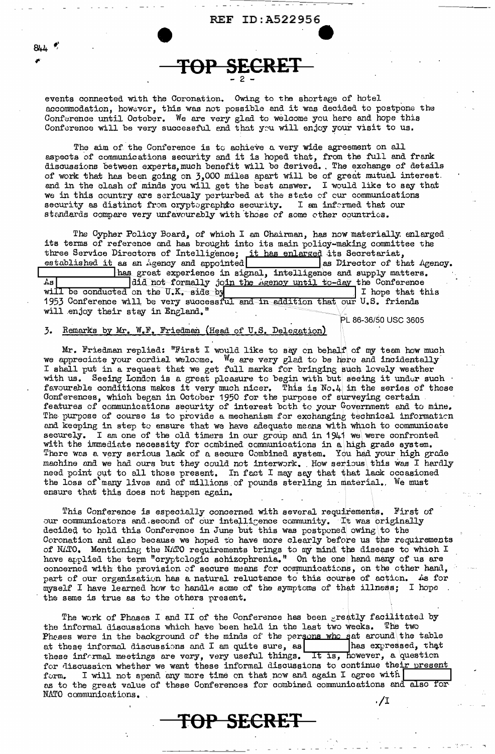events connected with the Coronation. Owing to the shortage of hotel accommodation, however, this was not possible and it was decided to postpone the Conference until October. We are very glad to welcome you here and hope this Conference will be very successful and that you will enjoy your visit to us.

TOP SECRET

**REF ID:A522956** 

The aim of the Conference is to achieve a very wide agreement on all aspects of communications security and it is hoped that, from the full and frank discussions between experts, much benefit will be derived. The exchange of details of work that has been going on 3,000 miles apart will be of great mutual interest and in the clash of minds you will get the best answer. I would like to say that we in this country are seriously perturbed at the state of our communications security as distinct from oryptographic security. I am informed that our standards compare very unfavourably with those of some other countries.

The Cypher Policy Board, of which I am Chairman, has now materially enlarged its terms of reference and has brought into its main policy-making committee the three Service Directors of Intelligence; it has enlarged its Secretariat, established it as an igency and appointed as Director of the  $\vert$  as Director of that Agency. has great experience in signal, intelligence and supply matters. Bń. did not formally join the *Agency* until to-day the Conference will be conducted on the U.K. side by I hope that this 1953 Conference will be very successful and in addition that our U.S. friends will enjoy their stay in England."

PL 86-36/50 USC 3605

#### Remarks by Mr. W.F. Friedman (Head of U.S. Delegation) 3.

 $8L$ 

Mr. Friedman replied: "First I would like to say on behalf of my team how much we appreciate your cordial welcome. We are very glad to be here and incidentally I shall put in a request that we get full marks for bringing such lovely weather with us. Seeing London is a great pleasure to begin with but seeing it under such favourable conditions makes it very much nicer. This is No.4 in the series of these<br>Gonferences, which began in October 1950 for the purpose of surveying certain<br>features of communications security of interest both to your The purpose of course is to provide a mechanism for exchanging technical information and keeping in step to ensure that we have adequate means with which to communicate securely. I am one of the old timers in our group and in 1941 we were confronted with the immediate necessity for combined communications in a high grade system. There was a very serious lack of a secure Combined system. You had your high grade machine and we had ours but they could not interwork. How serious this was I hardly need point out to all those present. In fact I may say that that lack occasioned the loss of many lives and of millions of pounds sterling in material. We must ensure that this does not happen again.

This Conference is especially concerned with several requirements. First of our communicators and second of our intelligence community. It was originally decided to hold this Conference in June but this was postponed owing to the Coronation and also because we hoped to have more clearly before us the requirements of NATO. Mentioning the NATO requirements brings to my mind the disease to which I have applied the term "cryptclogic schizophrenia." On the one hand many of us are concerned with the provision of secure means for communications, on the other hand, part of our organization has a natural reluctance to this course of action. As for myself I have learned how to handle some of the symptoms of that illness; I hope the same is true as to the others present.

The work of Phases I and II of the Conference has been greatly facilitated by the informal discussions which have been held in the last two weeks. The two Pheses were in the background of the minds of the persons who sat around the table at these informal discussions and I am quite sure, as has expressed, that these informal meetings are very, very useful things. It is, however, a question for discussion whether we want these informal discussions to continue their present I will not spend any more time on that now and again I agree with form. as to the great value of these Conferences for combined communications and also for NATO communications. . /I

TOP SECRET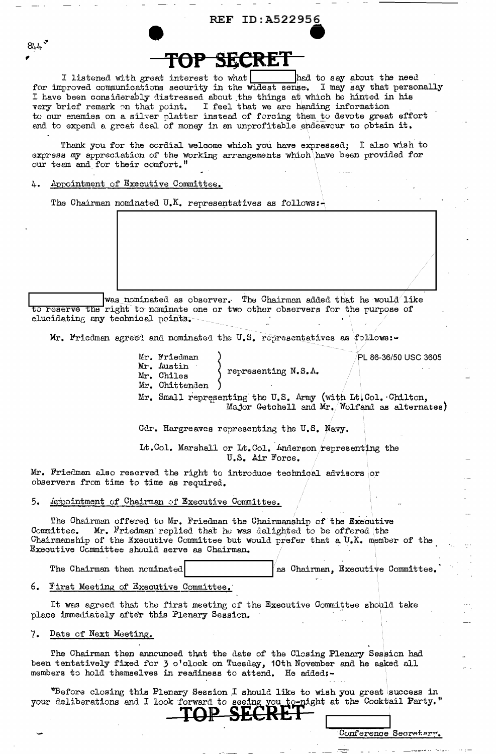#### ID:A522956  $\mathbf{REF}$

#### FAF SE

I listened with great interest to what had to say about the need for improved communications security in the widest sense. I may say that personally I have been considerably distressed about the things at which he hinted in his very brief remark on that point. I feel that we are handing information to our enemies on a silver platter instead of forcing them to devote great effort and to expend a great deal of money in an unprofitable endeavour to obtain it.

Thank you for the cordial welcome which you have expressed; I also wish to express my appreciation of the working arrangements which have been provided for our team and for their comfort."

Appointment of Executive Committee. Ά.

 $8L$ 

The Chairman nominated U.K. representatives as follows:-

was nominated as observer. The Chairman added that he would like to reserve the right to nominate one or two other observers for the purpose of elucidating any technical peints.

Mr. Friedman agreed and nominated the U.S. representatives as follows:-

Mr. Friedman PL 86-36/50 USC 3605 Mr. Austin representing  $N.S.A.$ Mr. Chiles Mr. Chittenden Mr. Small representing the U.S. Army (with Lt. Col. Chilten,<br>Major Getchell and Mr. Wolfand as alternates)

Cdr. Hargreaves representing the U.S. Navy.

Lt.Col. Marshall or Lt.Col. Anderson representing the U.S. Air Force.

Mr. Friedman also reserved the right to introduce technical advisors or observers from time to time as required.

Appointment of Chairman of Executive Committee. 5.

The Chairman offered to Mr. Friedman the Chairmanship of the Executive Committee. Mr. Friedman replied that he was delighted to be offered the Chairmanship of the Executive Committee but would prefer that a U.K. member of the Executive Committee should serve as Chairman.

The Chairman then nominated as Chairman, Executive Committee.

6. First Meeting of Executive Committee.

It was agreed that the first meeting of the Executive Committee should take place immediately after this Plenary Session.

#### Date of Next Meeting.  $7.$

The Chairman then announced that the date of the Closing Plenary Session had been tentatively fixed for  $\tilde{j}$  o'clock on Tuesday, 10th November and he asked all members to hold themselves in readiness to attend. He added:-

"Before closing this Plenary Session I should like to wish you great success in your deliberations and I look forward to seeing you to night at the Cooktail Party."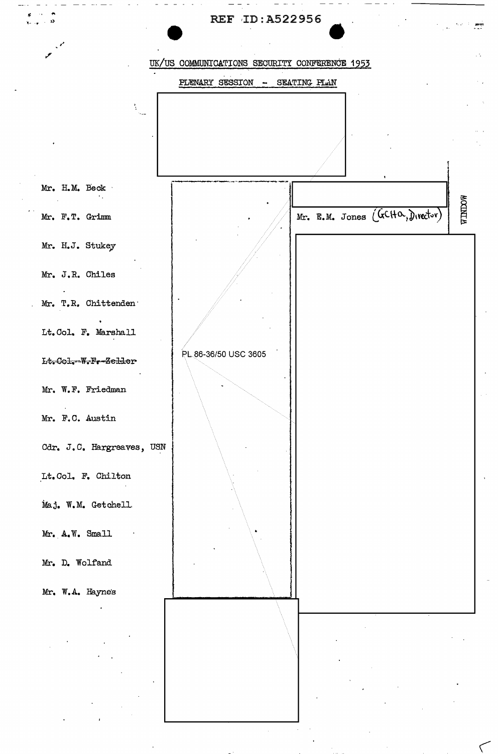

.<br>م

 $\frac{1}{2}$ 

्लामा<br>न

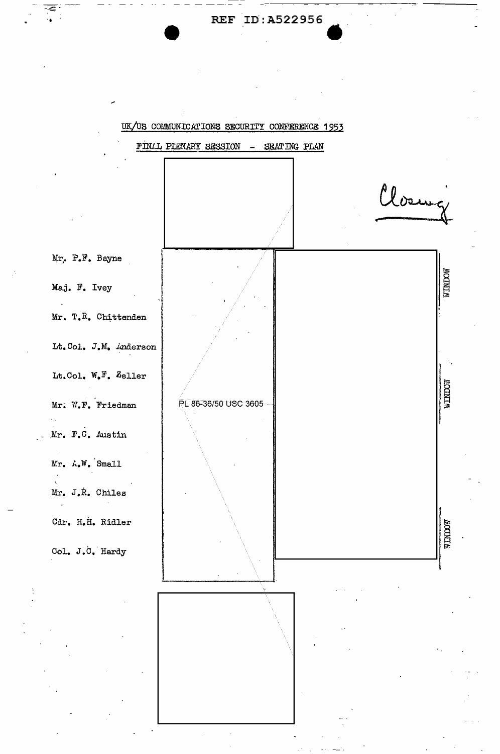REF ID: A522956

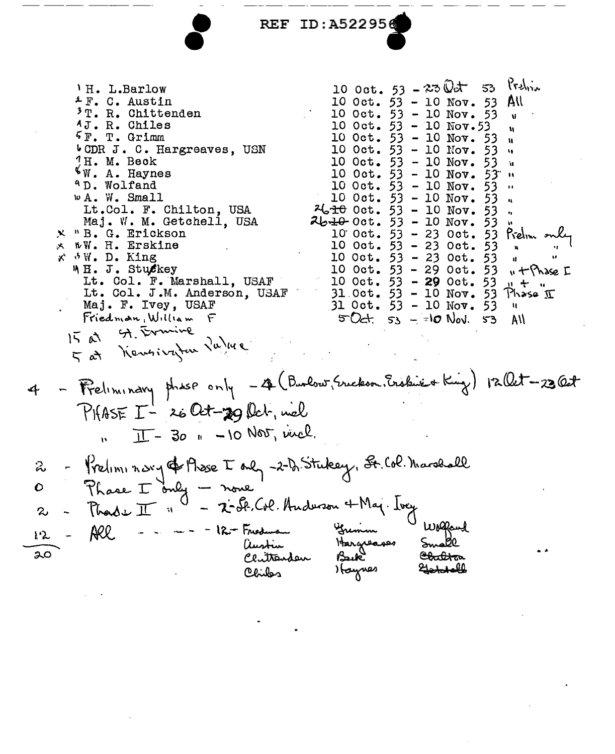REF ID:A522956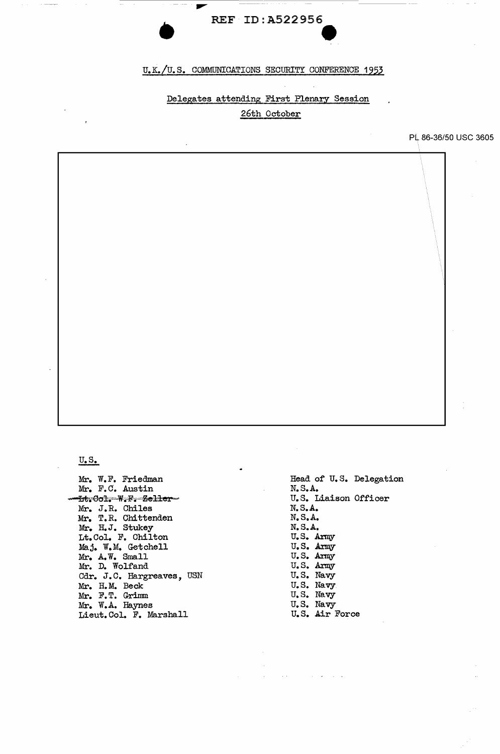## • REF ID:A522956 e<br>O

#### U.K./U.S. COMMUNICATIONS SECURITY CONFERENCE 1953

### Delegates attending First Plenary Session

### 26th October

PL 86-36/50 USC 3605

 $U_{\bullet}S_{\bullet}$ 

Mr. W.F. Friedman Mr. F.C. Austin  $-$ lit;  $\theta$ ol; $-$ W, $\mathbb{F}_{i}$ -Zeller $-$ Mr. J.R. Chiles Mr. T.R. Chittenden Mr. H.J. Stukey Lt.Col. F. Chilton Maj. W.M. Getchell Mr. A. W. Small Mr. D. Wolfand Cdr. J.C. Hargreaves, USN Mr. H.M. Beck Mr. F. T. Grimm Mr. W.A. Haynes Lieut.Col. F. Marshall

Head of U.S. Delegation N.S.A. U.S. Liaison Officer N.S.A. N.S.A. N.S.A. u.s. Army u.s. Army u.s. Army u.s. Army U.S. Navy U.S. Navy U.S. Navy U.S. Navy u. s. Air Force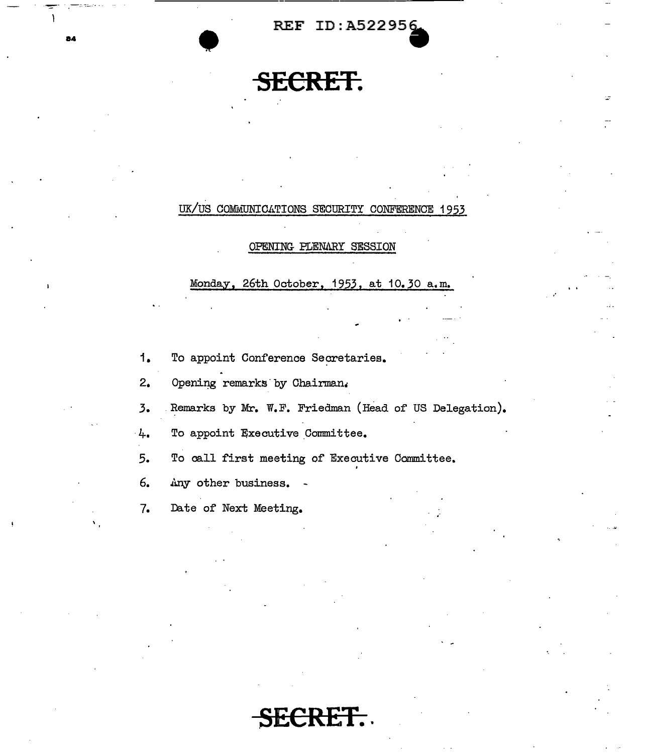REF ID:A522956

## **SECRET.**

## UK/US COMMUNICATIONS SECURITY CONFERENCE 1953

#### OPENING PLENARY SESSION

Monday, 26th October, 1953, at 10.30 a.m.

- 1. To appoint Conference Secretaries.
- 2. Opening remarks by Chairman.
- *3.* Remarks by Mr. W.F. Friedman (Head of US Delegation).
- 4. To appoint Executive Committee.

5. To call first meeting of Executive Committee.

6. Any other business. -

7. Date of Next Meeting.

RET.